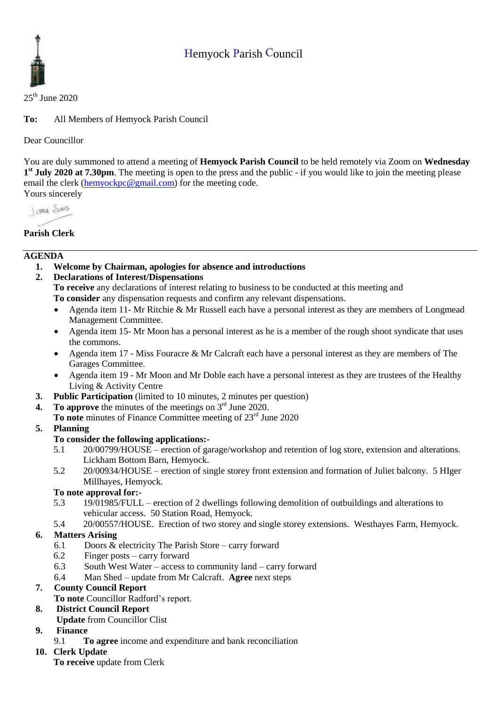## Hemyock Parish Council



 $25<sup>th</sup>$  June 2020

**To:** All Members of Hemyock Parish Council

Dear Councillor

You are duly summoned to attend a meeting of **Hemyock Parish Council** to be held remotely via Zoom on **Wednesday 1 st July 2020 at 7.30pm**. The meeting is open to the press and the public - if you would like to join the meeting please email the clerk [\(hemyockpc@gmail.com\)](mailto:hemyockpc@gmail.com) for the meeting code. Yours sincerely

**Jong** Sans

## **Parish Clerk**

#### **AGENDA**

- **1. Welcome by Chairman, apologies for absence and introductions**
- **2. Declarations of Interest/Dispensations**

**To receive** any declarations of interest relating to business to be conducted at this meeting and **To consider** any dispensation requests and confirm any relevant dispensations.

- Agenda item 11- Mr Ritchie & Mr Russell each have a personal interest as they are members of Longmead Management Committee.
- Agenda item 15- Mr Moon has a personal interest as he is a member of the rough shoot syndicate that uses the commons.
- Agenda item 17 Miss Fouracre & Mr Calcraft each have a personal interest as they are members of The Garages Committee.
- Agenda item 19 Mr Moon and Mr Doble each have a personal interest as they are trustees of the Healthy Living & Activity Centre
- **3. Public Participation** (limited to 10 minutes, 2 minutes per question)
- **4.** To approve the minutes of the meetings on  $3<sup>rd</sup>$  June 2020.
	- To note minutes of Finance Committee meeting of 23<sup>rd</sup> June 2020
- **5. Planning**

#### **To consider the following applications:-**

- 5.1 20/00799/HOUSE erection of garage/workshop and retention of log store, extension and alterations. Lickham Bottom Barn, Hemyock.
- 5.2 20/00934/HOUSE erection of single storey front extension and formation of Juliet balcony. 5 HIger Millhayes, Hemyock.

#### **To note approval for:-**

- 5.3 19/01985/FULL erection of 2 dwellings following demolition of outbuildings and alterations to vehicular access. 50 Station Road, Hemyock.
- 5.4 20/00557/HOUSE. Erection of two storey and single storey extensions. Westhayes Farm, Hemyock.

#### **6. Matters Arising**

- 6.1 Doors & electricity The Parish Store carry forward
- 6.2 Finger posts carry forward
- 6.3 South West Water access to community land carry forward
- 6.4 Man Shed update from Mr Calcraft. **Agree** next steps

#### **7. County Council Report**

**To note** Councillor Radford's report.

#### **8. District Council Report**

**Update** from Councillor Clist

## **9. Finance**

- 9.1 **To agree** income and expenditure and bank reconciliation
- **10. Clerk Update** 
	- **To receive** update from Clerk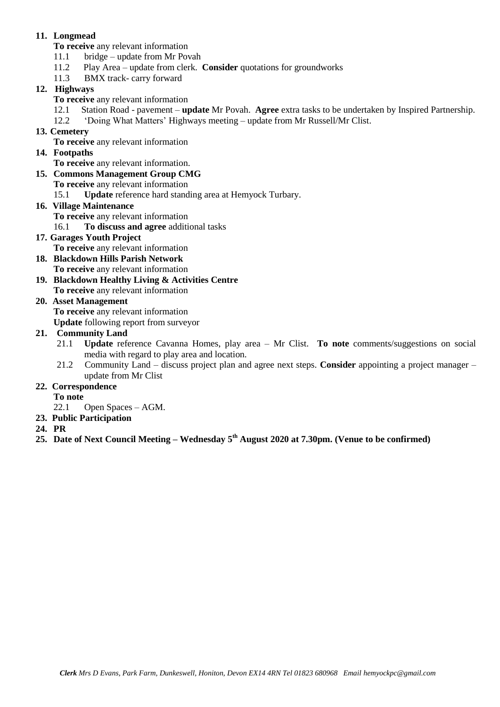#### **11. Longmead**

**To receive** any relevant information

- 11.1 bridge update from Mr Povah
- 11.2 Play Area update from clerk. **Consider** quotations for groundworks
- 11.3 BMX track- carry forward

## **12. Highways**

- **To receive** any relevant information
- 12.1 Station Road pavement **update** Mr Povah. **Agree** extra tasks to be undertaken by Inspired Partnership.
- 12.2 'Doing What Matters' Highways meeting update from Mr Russell/Mr Clist.

#### **13. Cemetery**

**To receive** any relevant information

#### **14. Footpaths**

**To receive** any relevant information.

#### **15. Commons Management Group CMG**

**To receive** any relevant information

15.1 **Update** reference hard standing area at Hemyock Turbary.

#### **16. Village Maintenance**

- **To receive** any relevant information
- 16.1 **To discuss and agree** additional tasks

#### **17. Garages Youth Project**

- **To receive** any relevant information
- **18. Blackdown Hills Parish Network To receive** any relevant information
- **19. Blackdown Healthy Living & Activities Centre**

# **To receive** any relevant information

#### **20. Asset Management**

**To receive** any relevant information

**Update** following report from surveyor

#### **21. Community Land**

- 21.1 **Update** reference Cavanna Homes, play area Mr Clist. **To note** comments/suggestions on social media with regard to play area and location.
- 21.2 Community Land discuss project plan and agree next steps. **Consider** appointing a project manager update from Mr Clist

#### **22. Correspondence**

**To note**

- 22.1 Open Spaces AGM.
- **23. Public Participation**
- **24. PR**
- **25. Date of Next Council Meeting – Wednesday 5 th August 2020 at 7.30pm. (Venue to be confirmed)**